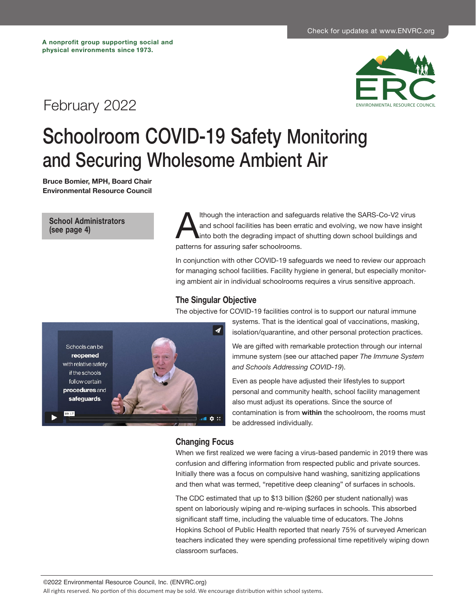# February 2022



# Schoolroom COVID-19 Safety Monitoring and Securing Wholesome Ambient Air

**Bruce Bomier, MPH, Board Chair Environmental Resource Council**

**[School Administrators](#page-3-0)  (see page 4)**

Ithough the interaction and safeguards relative the SARS-Co-V2 virus<br>and school facilities has been erratic and evolving, we now have insight<br>into both the degrading impact of shutting down school buildings and<br>patterns fo and school facilities has been erratic and evolving, we now have insight into both the degrading impact of shutting down school buildings and patterns for assuring safer schoolrooms.

In conjunction with other COVID-19 safeguards we need to review our approach for managing school facilities. Facility hygiene in general, but especially monitoring ambient air in individual schoolrooms requires a virus sensitive approach.

### **The Singular Objective**

The objective for COVID-19 facilities control is to support our natural immune



systems. That is the identical goal of vaccinations, masking, isolation/quarantine, and other personal protection practices.

We are gifted with remarkable protection through our internal immune system (see our attached paper *The Immune System and Schools Addressing COVID-19*).

Even as people have adjusted their lifestyles to support personal and community health, school facility management also must adjust its operations. Since the source of contamination is from **within** the schoolroom, the rooms must be addressed individually.

# **Changing Focus**

When we first realized we were facing a virus-based pandemic in 2019 there was confusion and differing information from respected public and private sources. Initially there was a focus on compulsive hand washing, sanitizing applications and then what was termed, "repetitive deep cleaning" of surfaces in schools.

The CDC estimated that up to \$13 billion (\$260 per student nationally) was spent on laboriously wiping and re-wiping surfaces in schools. This absorbed significant staff time, including the valuable time of educators. The Johns Hopkins School of Public Health reported that nearly 75% of surveyed American teachers indicated they were spending professional time repetitively wiping down classroom surfaces.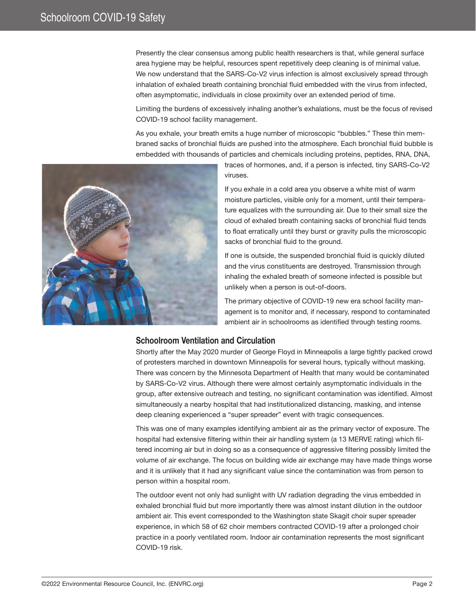Presently the clear consensus among public health researchers is that, while general surface area hygiene may be helpful, resources spent repetitively deep cleaning is of minimal value. We now understand that the SARS-Co-V2 virus infection is almost exclusively spread through inhalation of exhaled breath containing bronchial fluid embedded with the virus from infected, often asymptomatic, individuals in close proximity over an extended period of time.

Limiting the burdens of excessively inhaling another's exhalations, must be the focus of revised COVID-19 school facility management.

As you exhale, your breath emits a huge number of microscopic "bubbles." These thin membraned sacks of bronchial fluids are pushed into the atmosphere. Each bronchial fluid bubble is embedded with thousands of particles and chemicals including proteins, peptides, RNA, DNA,



traces of hormones, and, if a person is infected, tiny SARS-Co-V2 viruses.

If you exhale in a cold area you observe a white mist of warm moisture particles, visible only for a moment, until their temperature equalizes with the surrounding air. Due to their small size the cloud of exhaled breath containing sacks of bronchial fluid tends to float erratically until they burst or gravity pulls the microscopic sacks of bronchial fluid to the ground.

If one is outside, the suspended bronchial fluid is quickly diluted and the virus constituents are destroyed. Transmission through inhaling the exhaled breath of someone infected is possible but unlikely when a person is out-of-doors.

The primary objective of COVID-19 new era school facility management is to monitor and, if necessary, respond to contaminated ambient air in schoolrooms as identified through testing rooms.

# **Schoolroom Ventilation and Circulation**

Shortly after the May 2020 murder of George Floyd in Minneapolis a large tightly packed crowd of protesters marched in downtown Minneapolis for several hours, typically without masking. There was concern by the Minnesota Department of Health that many would be contaminated by SARS-Co-V2 virus. Although there were almost certainly asymptomatic individuals in the group, after extensive outreach and testing, no significant contamination was identified. Almost simultaneously a nearby hospital that had institutionalized distancing, masking, and intense deep cleaning experienced a "super spreader" event with tragic consequences.

This was one of many examples identifying ambient air as the primary vector of exposure. The hospital had extensive filtering within their air handling system (a 13 MERVE rating) which filtered incoming air but in doing so as a consequence of aggressive filtering possibly limited the volume of air exchange. The focus on building wide air exchange may have made things worse and it is unlikely that it had any significant value since the contamination was from person to person within a hospital room.

The outdoor event not only had sunlight with UV radiation degrading the virus embedded in exhaled bronchial fluid but more importantly there was almost instant dilution in the outdoor ambient air. This event corresponded to the Washington state Skagit choir super spreader experience, in which 58 of 62 choir members contracted COVID-19 after a prolonged choir practice in a poorly ventilated room. Indoor air contamination represents the most significant COVID-19 risk.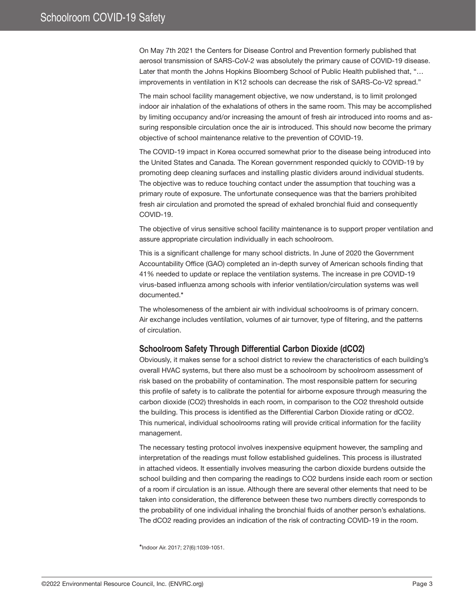On May 7th 2021 the Centers for Disease Control and Prevention formerly published that aerosol transmission of SARS-CoV-2 was absolutely the primary cause of COVID-19 disease. Later that month the Johns Hopkins Bloomberg School of Public Health published that, "… improvements in ventilation in K12 schools can decrease the risk of SARS-Co-V2 spread."

The main school facility management objective, we now understand, is to limit prolonged indoor air inhalation of the exhalations of others in the same room. This may be accomplished by limiting occupancy and/or increasing the amount of fresh air introduced into rooms and assuring responsible circulation once the air is introduced. This should now become the primary objective of school maintenance relative to the prevention of COVID-19.

The COVID-19 impact in Korea occurred somewhat prior to the disease being introduced into the United States and Canada. The Korean government responded quickly to COVID-19 by promoting deep cleaning surfaces and installing plastic dividers around individual students. The objective was to reduce touching contact under the assumption that touching was a primary route of exposure. The unfortunate consequence was that the barriers prohibited fresh air circulation and promoted the spread of exhaled bronchial fluid and consequently COVID-19.

The objective of virus sensitive school facility maintenance is to support proper ventilation and assure appropriate circulation individually in each schoolroom.

This is a significant challenge for many school districts. In June of 2020 the Government Accountability Office (GAO) completed an in-depth survey of American schools finding that 41% needed to update or replace the ventilation systems. The increase in pre COVID-19 virus-based influenza among schools with inferior ventilation/circulation systems was well documented.\*

The wholesomeness of the ambient air with individual schoolrooms is of primary concern. Air exchange includes ventilation, volumes of air turnover, type of filtering, and the patterns of circulation.

# **Schoolroom Safety Through Differential Carbon Dioxide (dCO2)**

Obviously, it makes sense for a school district to review the characteristics of each building's overall HVAC systems, but there also must be a schoolroom by schoolroom assessment of risk based on the probability of contamination. The most responsible pattern for securing this profile of safety is to calibrate the potential for airborne exposure through measuring the carbon dioxide (CO2) thresholds in each room, in comparison to the CO2 threshold outside the building. This process is identified as the Differential Carbon Dioxide rating or dCO2. This numerical, individual schoolrooms rating will provide critical information for the facility management.

The necessary testing protocol involves inexpensive equipment however, the sampling and interpretation of the readings must follow established guidelines. This process is illustrated in attached videos. It essentially involves measuring the carbon dioxide burdens outside the school building and then comparing the readings to CO2 burdens inside each room or section of a room if circulation is an issue. Although there are several other elements that need to be taken into consideration, the difference between these two numbers directly corresponds to the probability of one individual inhaling the bronchial fluids of another person's exhalations. The dCO2 reading provides an indication of the risk of contracting COVID-19 in the room.

\*Indoor Air. 2017; 27(6):1039-1051.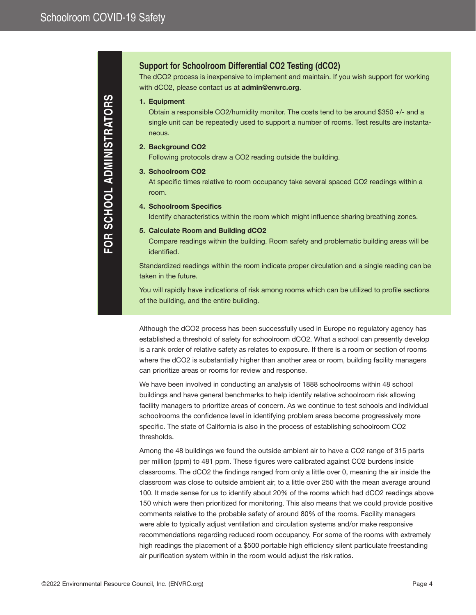# <span id="page-3-0"></span>**Support for Schoolroom Differential CO2 Testing (dCO2)**

The dCO2 process is inexpensive to implement and maintain. If you wish support for working with dCO2, please contact us at **admin@envrc.org**.

#### **1. Equipment**

Obtain a responsible CO2/humidity monitor. The costs tend to be around \$350 +/- and a single unit can be repeatedly used to support a number of rooms. Test results are instantaneous.

#### **2. Background CO2**

Following protocols draw a CO2 reading outside the building.

#### **3. Schoolroom CO2**

At specific times relative to room occupancy take several spaced CO2 readings within a room.

#### **4. Schoolroom Specifics**

Identify characteristics within the room which might influence sharing breathing zones.

#### **5. Calculate Room and Building dCO2**

Compare readings within the building. Room safety and problematic building areas will be identified.

Standardized readings within the room indicate proper circulation and a single reading can be taken in the future.

You will rapidly have indications of risk among rooms which can be utilized to profile sections of the building, and the entire building.

Although the dCO2 process has been successfully used in Europe no regulatory agency has established a threshold of safety for schoolroom dCO2. What a school can presently develop is a rank order of relative safety as relates to exposure. If there is a room or section of rooms where the dCO2 is substantially higher than another area or room, building facility managers can prioritize areas or rooms for review and response.

We have been involved in conducting an analysis of 1888 schoolrooms within 48 school buildings and have general benchmarks to help identify relative schoolroom risk allowing facility managers to prioritize areas of concern. As we continue to test schools and individual schoolrooms the confidence level in identifying problem areas become progressively more specific. The state of California is also in the process of establishing schoolroom CO2 thresholds.

Among the 48 buildings we found the outside ambient air to have a CO2 range of 315 parts per million (ppm) to 481 ppm. These figures were calibrated against CO2 burdens inside classrooms. The dCO2 the findings ranged from only a little over 0, meaning the air inside the classroom was close to outside ambient air, to a little over 250 with the mean average around 100. It made sense for us to identify about 20% of the rooms which had dCO2 readings above 150 which were then prioritized for monitoring. This also means that we could provide positive comments relative to the probable safety of around 80% of the rooms. Facility managers were able to typically adjust ventilation and circulation systems and/or make responsive recommendations regarding reduced room occupancy. For some of the rooms with extremely high readings the placement of a \$500 portable high efficiency silent particulate freestanding air purification system within in the room would adjust the risk ratios.